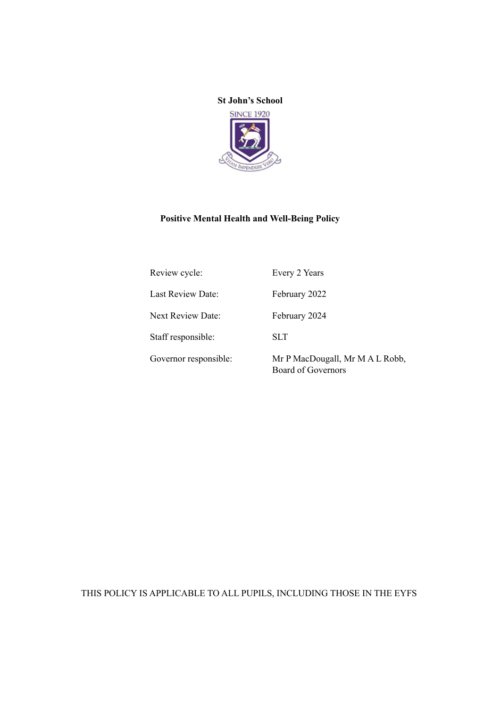

# **Positive Mental Health and Well-Being Policy**

| Review cycle:         | Every 2 Years                                                |
|-----------------------|--------------------------------------------------------------|
| Last Review Date:     | February 2022                                                |
| Next Review Date:     | February 2024                                                |
| Staff responsible:    | <b>SLT</b>                                                   |
| Governor responsible: | Mr P MacDougall, Mr M A L Robb,<br><b>Board of Governors</b> |

THIS POLICY IS APPLICABLE TO ALL PUPILS, INCLUDING THOSE IN THE EYFS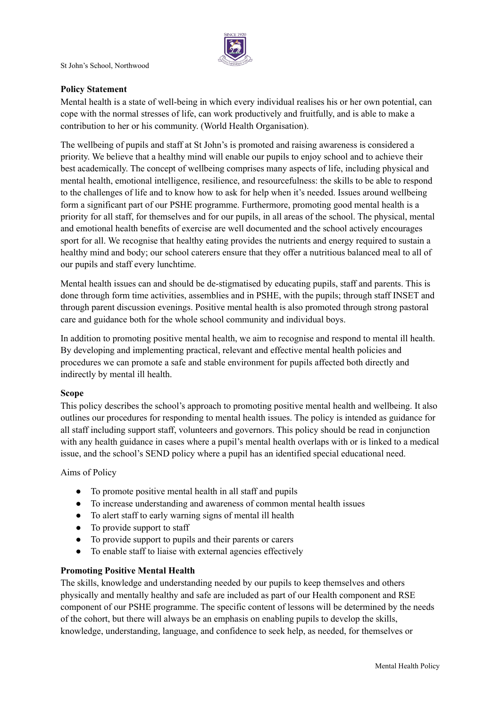

# **Policy Statement**

Mental health is a state of well-being in which every individual realises his or her own potential, can cope with the normal stresses of life, can work productively and fruitfully, and is able to make a contribution to her or his community. (World Health Organisation).

The wellbeing of pupils and staff at St John's is promoted and raising awareness is considered a priority. We believe that a healthy mind will enable our pupils to enjoy school and to achieve their best academically. The concept of wellbeing comprises many aspects of life, including physical and mental health, emotional intelligence, resilience, and resourcefulness: the skills to be able to respond to the challenges of life and to know how to ask for help when it's needed. Issues around wellbeing form a significant part of our PSHE programme. Furthermore, promoting good mental health is a priority for all staff, for themselves and for our pupils, in all areas of the school. The physical, mental and emotional health benefits of exercise are well documented and the school actively encourages sport for all. We recognise that healthy eating provides the nutrients and energy required to sustain a healthy mind and body; our school caterers ensure that they offer a nutritious balanced meal to all of our pupils and staff every lunchtime.

Mental health issues can and should be de-stigmatised by educating pupils, staff and parents. This is done through form time activities, assemblies and in PSHE, with the pupils; through staff INSET and through parent discussion evenings. Positive mental health is also promoted through strong pastoral care and guidance both for the whole school community and individual boys.

In addition to promoting positive mental health, we aim to recognise and respond to mental ill health. By developing and implementing practical, relevant and effective mental health policies and procedures we can promote a safe and stable environment for pupils affected both directly and indirectly by mental ill health.

## **Scope**

This policy describes the school's approach to promoting positive mental health and wellbeing. It also outlines our procedures for responding to mental health issues. The policy is intended as guidance for all staff including support staff, volunteers and governors. This policy should be read in conjunction with any health guidance in cases where a pupil's mental health overlaps with or is linked to a medical issue, and the school's SEND policy where a pupil has an identified special educational need.

Aims of Policy

- To promote positive mental health in all staff and pupils
- To increase understanding and awareness of common mental health issues
- To alert staff to early warning signs of mental ill health
- To provide support to staff
- To provide support to pupils and their parents or carers
- To enable staff to liaise with external agencies effectively

# **Promoting Positive Mental Health**

The skills, knowledge and understanding needed by our pupils to keep themselves and others physically and mentally healthy and safe are included as part of our Health component and RSE component of our PSHE programme. The specific content of lessons will be determined by the needs of the cohort, but there will always be an emphasis on enabling pupils to develop the skills, knowledge, understanding, language, and confidence to seek help, as needed, for themselves or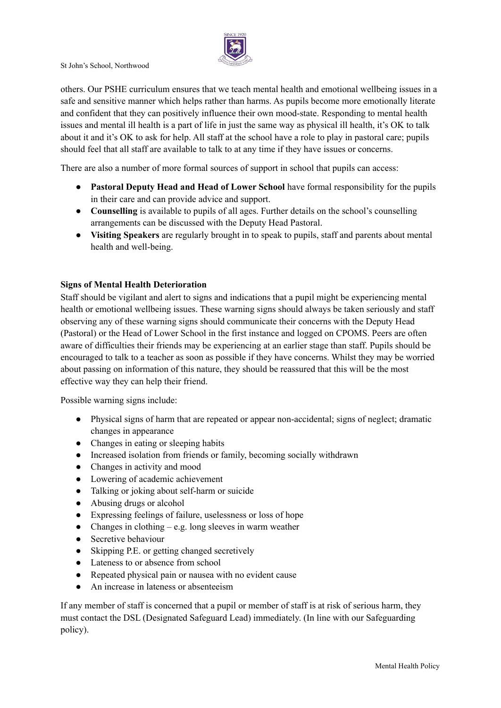

others. Our PSHE curriculum ensures that we teach mental health and emotional wellbeing issues in a safe and sensitive manner which helps rather than harms. As pupils become more emotionally literate and confident that they can positively influence their own mood-state. Responding to mental health issues and mental ill health is a part of life in just the same way as physical ill health, it's OK to talk about it and it's OK to ask for help. All staff at the school have a role to play in pastoral care; pupils should feel that all staff are available to talk to at any time if they have issues or concerns.

There are also a number of more formal sources of support in school that pupils can access:

- **Pastoral Deputy Head and Head of Lower School** have formal responsibility for the pupils in their care and can provide advice and support.
- **Counselling** is available to pupils of all ages. Further details on the school's counselling arrangements can be discussed with the Deputy Head Pastoral.
- **● Visiting Speakers** are regularly brought in to speak to pupils, staff and parents about mental health and well-being.

# **Signs of Mental Health Deterioration**

Staff should be vigilant and alert to signs and indications that a pupil might be experiencing mental health or emotional wellbeing issues. These warning signs should always be taken seriously and staff observing any of these warning signs should communicate their concerns with the Deputy Head (Pastoral) or the Head of Lower School in the first instance and logged on CPOMS. Peers are often aware of difficulties their friends may be experiencing at an earlier stage than staff. Pupils should be encouraged to talk to a teacher as soon as possible if they have concerns. Whilst they may be worried about passing on information of this nature, they should be reassured that this will be the most effective way they can help their friend.

Possible warning signs include:

- Physical signs of harm that are repeated or appear non-accidental; signs of neglect; dramatic changes in appearance
- Changes in eating or sleeping habits
- Increased isolation from friends or family, becoming socially withdrawn
- Changes in activity and mood
- Lowering of academic achievement
- Talking or joking about self-harm or suicide
- Abusing drugs or alcohol
- Expressing feelings of failure, uselessness or loss of hope
- Changes in clothing e.g. long sleeves in warm weather
- Secretive behaviour
- Skipping P.E. or getting changed secretively
- Lateness to or absence from school
- Repeated physical pain or nausea with no evident cause
- An increase in lateness or absenteeism

If any member of staff is concerned that a pupil or member of staff is at risk of serious harm, they must contact the DSL (Designated Safeguard Lead) immediately. (In line with our Safeguarding policy).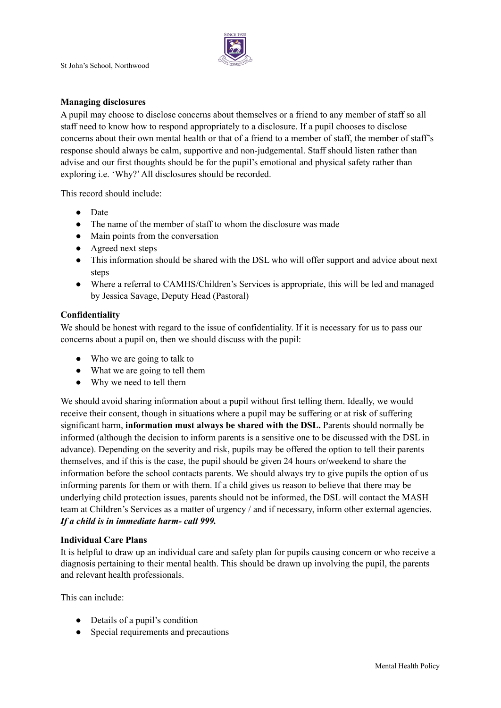

#### **Managing disclosures**

A pupil may choose to disclose concerns about themselves or a friend to any member of staff so all staff need to know how to respond appropriately to a disclosure. If a pupil chooses to disclose concerns about their own mental health or that of a friend to a member of staff, the member of staff's response should always be calm, supportive and non-judgemental. Staff should listen rather than advise and our first thoughts should be for the pupil's emotional and physical safety rather than exploring i.e. 'Why?'All disclosures should be recorded.

This record should include:

- Date
- The name of the member of staff to whom the disclosure was made
- Main points from the conversation
- Agreed next steps
- This information should be shared with the DSL who will offer support and advice about next steps
- Where a referral to CAMHS/Children's Services is appropriate, this will be led and managed by Jessica Savage, Deputy Head (Pastoral)

#### **Confidentiality**

We should be honest with regard to the issue of confidentiality. If it is necessary for us to pass our concerns about a pupil on, then we should discuss with the pupil:

- Who we are going to talk to
- What we are going to tell them
- Why we need to tell them

We should avoid sharing information about a pupil without first telling them. Ideally, we would receive their consent, though in situations where a pupil may be suffering or at risk of suffering significant harm, **information must always be shared with the DSL.** Parents should normally be informed (although the decision to inform parents is a sensitive one to be discussed with the DSL in advance). Depending on the severity and risk, pupils may be offered the option to tell their parents themselves, and if this is the case, the pupil should be given 24 hours or/weekend to share the information before the school contacts parents. We should always try to give pupils the option of us informing parents for them or with them. If a child gives us reason to believe that there may be underlying child protection issues, parents should not be informed, the DSL will contact the MASH team at Children's Services as a matter of urgency / and if necessary, inform other external agencies. *If a child is in immediate harm- call 999.*

#### **Individual Care Plans**

It is helpful to draw up an individual care and safety plan for pupils causing concern or who receive a diagnosis pertaining to their mental health. This should be drawn up involving the pupil, the parents and relevant health professionals.

This can include:

- Details of a pupil's condition
- Special requirements and precautions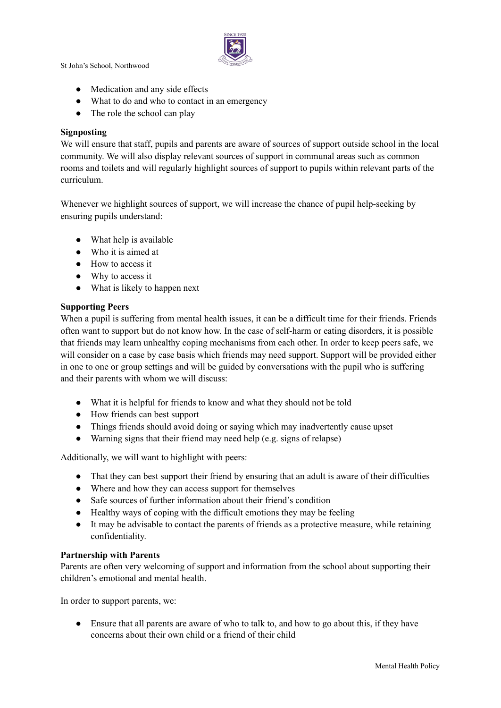

- Medication and any side effects
- What to do and who to contact in an emergency
- The role the school can play

## **Signposting**

We will ensure that staff, pupils and parents are aware of sources of support outside school in the local community. We will also display relevant sources of support in communal areas such as common rooms and toilets and will regularly highlight sources of support to pupils within relevant parts of the curriculum.

Whenever we highlight sources of support, we will increase the chance of pupil help-seeking by ensuring pupils understand:

- What help is available
- Who it is aimed at
- How to access it
- Why to access it
- What is likely to happen next

## **Supporting Peers**

When a pupil is suffering from mental health issues, it can be a difficult time for their friends. Friends often want to support but do not know how. In the case of self-harm or eating disorders, it is possible that friends may learn unhealthy coping mechanisms from each other. In order to keep peers safe, we will consider on a case by case basis which friends may need support. Support will be provided either in one to one or group settings and will be guided by conversations with the pupil who is suffering and their parents with whom we will discuss:

- What it is helpful for friends to know and what they should not be told
- How friends can best support
- Things friends should avoid doing or saying which may inadvertently cause upset
- Warning signs that their friend may need help (e.g. signs of relapse)

Additionally, we will want to highlight with peers:

- That they can best support their friend by ensuring that an adult is aware of their difficulties
- Where and how they can access support for themselves
- Safe sources of further information about their friend's condition
- Healthy ways of coping with the difficult emotions they may be feeling
- It may be advisable to contact the parents of friends as a protective measure, while retaining confidentiality.

## **Partnership with Parents**

Parents are often very welcoming of support and information from the school about supporting their children's emotional and mental health.

In order to support parents, we:

● Ensure that all parents are aware of who to talk to, and how to go about this, if they have concerns about their own child or a friend of their child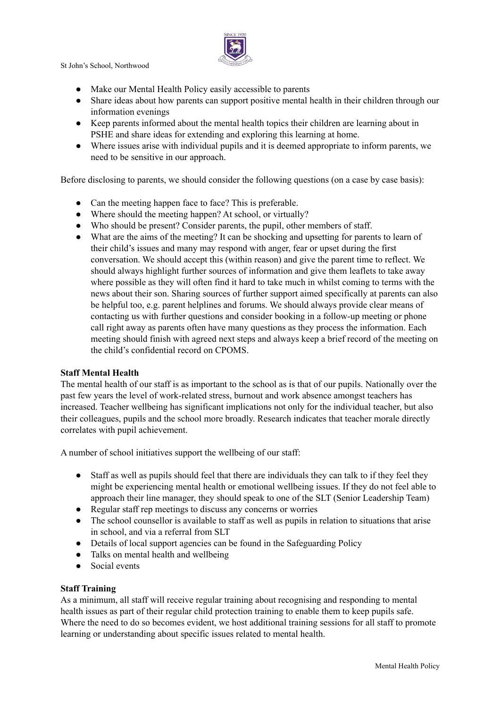

- Make our Mental Health Policy easily accessible to parents
- Share ideas about how parents can support positive mental health in their children through our information evenings
- Keep parents informed about the mental health topics their children are learning about in PSHE and share ideas for extending and exploring this learning at home.
- Where issues arise with individual pupils and it is deemed appropriate to inform parents, we need to be sensitive in our approach.

Before disclosing to parents, we should consider the following questions (on a case by case basis):

- Can the meeting happen face to face? This is preferable.
- Where should the meeting happen? At school, or virtually?
- Who should be present? Consider parents, the pupil, other members of staff.
- What are the aims of the meeting? It can be shocking and upsetting for parents to learn of their child's issues and many may respond with anger, fear or upset during the first conversation. We should accept this (within reason) and give the parent time to reflect. We should always highlight further sources of information and give them leaflets to take away where possible as they will often find it hard to take much in whilst coming to terms with the news about their son. Sharing sources of further support aimed specifically at parents can also be helpful too, e.g. parent helplines and forums. We should always provide clear means of contacting us with further questions and consider booking in a follow-up meeting or phone call right away as parents often have many questions as they process the information. Each meeting should finish with agreed next steps and always keep a brief record of the meeting on the child's confidential record on CPOMS.

## **Staff Mental Health**

The mental health of our staff is as important to the school as is that of our pupils. Nationally over the past few years the level of work-related stress, burnout and work absence amongst teachers has increased. Teacher wellbeing has significant implications not only for the individual teacher, but also their colleagues, pupils and the school more broadly. Research indicates that teacher morale directly correlates with pupil achievement.

A number of school initiatives support the wellbeing of our staff:

- Staff as well as pupils should feel that there are individuals they can talk to if they feel they might be experiencing mental health or emotional wellbeing issues. If they do not feel able to approach their line manager, they should speak to one of the SLT (Senior Leadership Team)
- Regular staff rep meetings to discuss any concerns or worries
- The school counsellor is available to staff as well as pupils in relation to situations that arise in school, and via a referral from SLT
- Details of local support agencies can be found in the Safeguarding Policy
- Talks on mental health and wellbeing
- Social events

## **Staff Training**

As a minimum, all staff will receive regular training about recognising and responding to mental health issues as part of their regular child protection training to enable them to keep pupils safe. Where the need to do so becomes evident, we host additional training sessions for all staff to promote learning or understanding about specific issues related to mental health.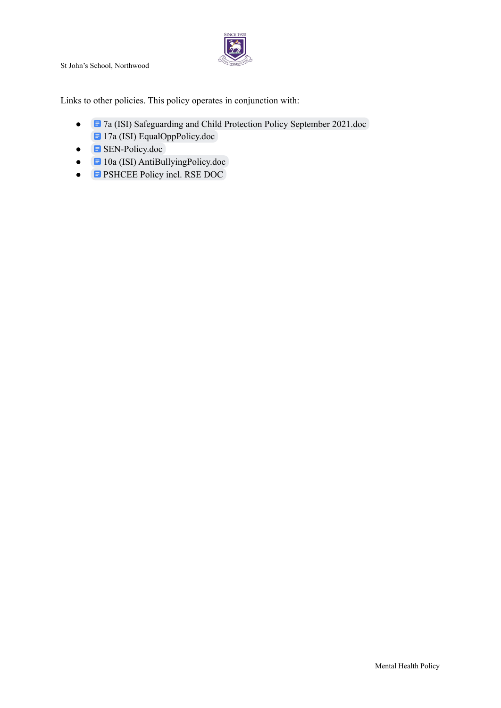

Links to other policies. This policy operates in conjunction with:

- **E** 7a (ISI) [Safeguarding](https://docs.google.com/document/d/1hVSZES0VhS7Kdn3l1AC0R8yVoo-y2rS79wqLo6PHaO8/edit?usp=sharing) and Child Protection Policy September 2021.doc **E** 17a (ISI) [EqualOppPolicy.doc](https://docs.google.com/document/d/1MlbWAIauEwpVdv80ThPmHJ7NlyV7uizT8vlTXvSO8JA/edit?usp=sharing)
- $\bullet$  **E** [SEN-Policy.doc](https://docs.google.com/document/d/18hjwTbVDdkqdTTT7c3sbyHcUfrxW3gY0eDPq5XyNn_o/edit)
- **E** 10a (ISI) [AntiBullyingPolicy.doc](https://docs.google.com/document/d/1Z7l-bDOzHnB1p-AIIM6OQgYui8oFX1UNW1susBcPYZQ/edit)
- **E** [PSHCEE](https://docs.google.com/document/d/1EvV-W0nw0IptxWTGlV_lRDB4pCBL2t4l4Z3MRAZY5Jk/edit) Policy incl. RSE DOC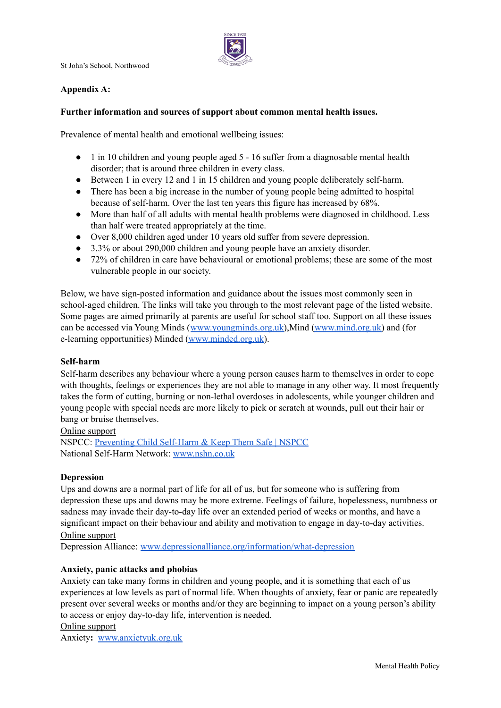

# **Appendix A:**

## **Further information and sources of support about common mental health issues.**

Prevalence of mental health and emotional wellbeing issues:

- 1 in 10 children and young people aged 5 16 suffer from a diagnosable mental health disorder; that is around three children in every class.
- Between 1 in every 12 and 1 in 15 children and young people deliberately self-harm.
- There has been a big increase in the number of young people being admitted to hospital because of self-harm. Over the last ten years this figure has increased by 68%.
- More than half of all adults with mental health problems were diagnosed in childhood. Less than half were treated appropriately at the time.
- Over 8,000 children aged under 10 years old suffer from severe depression.
- 3.3% or about 290,000 children and young people have an anxiety disorder.
- 72% of children in care have behavioural or emotional problems; these are some of the most vulnerable people in our society.

Below, we have sign-posted information and guidance about the issues most commonly seen in school-aged children. The links will take you through to the most relevant page of the listed website. Some pages are aimed primarily at parents are useful for school staff too. Support on all these issues can be accessed via Young Minds ([www.youngminds.org.uk\)](http://www.youngminds.org.uk),Mind [\(www.mind.org.uk\)](http://www.mind.org.uk) and (for e-learning opportunities) Minded [\(www.minded.org.uk](http://www.minded.org.uk)).

## **Self-harm**

Self-harm describes any behaviour where a young person causes harm to themselves in order to cope with thoughts, feelings or experiences they are not able to manage in any other way. It most frequently takes the form of cutting, burning or non-lethal overdoses in adolescents, while younger children and young people with special needs are more likely to pick or scratch at wounds, pull out their hair or bang or bruise themselves.

#### Online support

NSPCC: [Preventing](https://www.nspcc.org.uk/keeping-children-safe/childrens-mental-health/self-harm/) Child Self-Harm & Keep Them Safe | NSPCC National Self-Harm Network: [www.nshn.co.uk](http://www.nshn.co.uk)

## **Depression**

Ups and downs are a normal part of life for all of us, but for someone who is suffering from depression these ups and downs may be more extreme. Feelings of failure, hopelessness, numbness or sadness may invade their day-to-day life over an extended period of weeks or months, and have a significant impact on their behaviour and ability and motivation to engage in day-to-day activities. Online support

Depression Alliance: [www.depressionalliance.org/information/what-depression](http://www.depressionalliance.org/information/what-depression)

## **Anxiety, panic attacks and phobias**

Anxiety can take many forms in children and young people, and it is something that each of us experiences at low levels as part of normal life. When thoughts of anxiety, fear or panic are repeatedly present over several weeks or months and/or they are beginning to impact on a young person's ability to access or enjoy day-to-day life, intervention is needed.

#### Online support

Anxiety**:** [www.anxietyuk.org.uk](http://www.anxietyuk.org.uk)